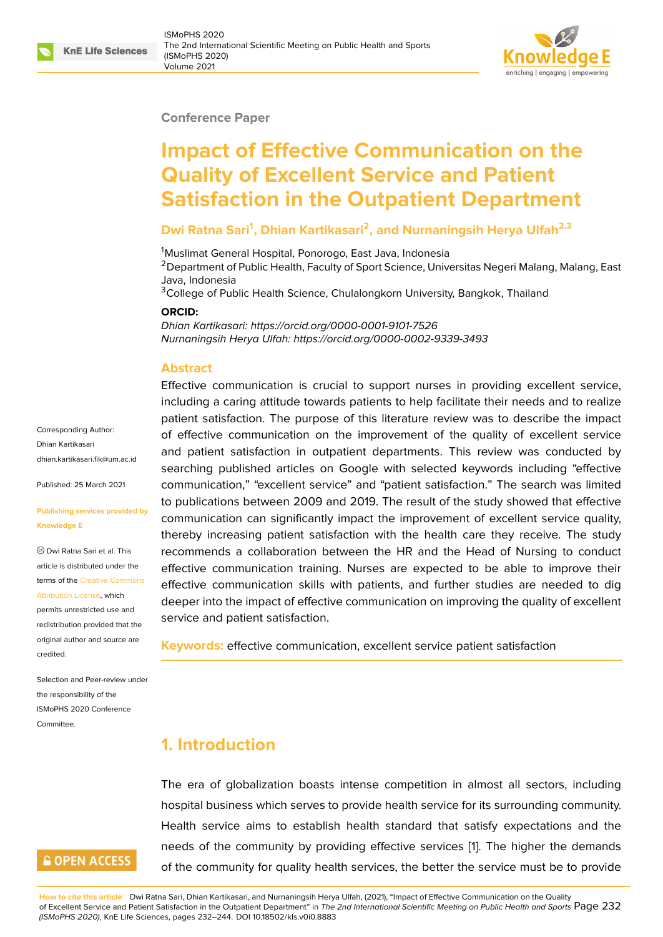#### **Conference Paper**

# **Impact of Effective Communication on the Quality of Excellent Service and Patient Satisfaction in the Outpatient Department**

#### **Dwi Ratna Sari<sup>1</sup> , Dhian Kartikasari<sup>2</sup> , and Nurnaningsih Herya Ulfah2,3**

<sup>1</sup>Muslimat General Hospital, Ponorogo, East Java, Indonesia

<sup>2</sup> Department of Public Health, Faculty of Sport Science, Universitas Negeri Malang, Malang, East Java, Indonesia

<sup>3</sup>College of Public Health Science, Chulalongkorn University, Bangkok, Thailand

#### **ORCID:**

*Dhian Kartikasari: https://orcid.org/0000-0001-9101-7526 Nurnaningsih Herya Ulfah: https://orcid.org/0000-0002-9339-3493*

#### **Abstract**

Effective communication is crucial to support nurses in providing excellent service, including a caring attitude towards patients to help facilitate their needs and to realize patient satisfaction. The purpose of this literature review was to describe the impact of effective communication on the improvement of the quality of excellent service and patient satisfaction in outpatient departments. This review was conducted by searching published articles on Google with selected keywords including "effective communication," "excellent service" and "patient satisfaction." The search was limited to publications between 2009 and 2019. The result of the study showed that effective communication can significantly impact the improvement of excellent service quality, thereby increasing patient satisfaction with the health care they receive. The study recommends a collaboration between the HR and the Head of Nursing to conduct effective communication training. Nurses are expected to be able to improve their effective communication skills with patients, and further studies are needed to dig deeper into the impact of effective communication on improving the quality of excellent service and patient satisfaction.

**Keywords:** effective communication, excellent service patient satisfaction

### **1. Introduction**

The era of globalization boasts intense competition in almost all sectors, including hospital business which serves to provide health service for its surrounding community. Health service aims to establish health standard that satisfy expectations and the needs of the community by providing effective services [1]. The higher the demands of the community for quality health services, the better the service must be to provide

**How to cite this article**: Dwi Ratna Sari, Dhian Kartikasari, and Nurnaningsih Herya Ulfah, (2021), "Impact of Effective Communication on the Quality of Excellent Service and Patient Satisfaction in the Outpatient Department" in *The 2nd International Scientific Meeting [on](#page-9-0) Public Health and Sports* Page 232 *(ISMoPHS 2020)*, KnE Life Sciences, pages 232–244. DOI 10.18502/kls.v0i0.8883

Corresponding Author: Dhian Kartikasari dhian.kartikasari.fik@um.ac.id

Published: 25 March 2021

#### **[Publishing services provided](mailto:dhian.kartikasari.fik@um.ac.id) by Knowledge E**

Dwi Ratna Sari et al. This article is distributed under the terms of the Creative Commons Attribution License, which

permits unrestricted use and redistribution provided that the original auth[or and source are](https://creativecommons.org/licenses/by/4.0/) [credited.](https://creativecommons.org/licenses/by/4.0/)

Selection and Peer-review under the responsibility of the ISMoPHS 2020 Conference Committee.

# **GOPEN ACCESS**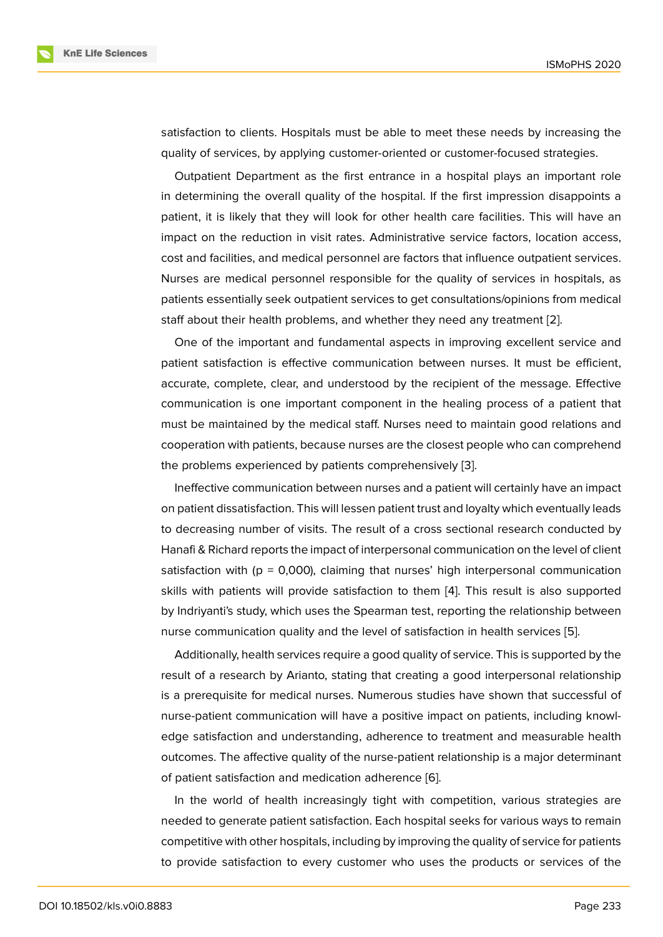satisfaction to clients. Hospitals must be able to meet these needs by increasing the quality of services, by applying customer-oriented or customer-focused strategies.

Outpatient Department as the first entrance in a hospital plays an important role in determining the overall quality of the hospital. If the first impression disappoints a patient, it is likely that they will look for other health care facilities. This will have an impact on the reduction in visit rates. Administrative service factors, location access, cost and facilities, and medical personnel are factors that influence outpatient services. Nurses are medical personnel responsible for the quality of services in hospitals, as patients essentially seek outpatient services to get consultations/opinions from medical staff about their health problems, and whether they need any treatment [2].

One of the important and fundamental aspects in improving excellent service and patient satisfaction is effective communication between nurses. It must be efficient, accurate, complete, clear, and understood by the recipient of the mess[ag](#page-9-1)e. Effective communication is one important component in the healing process of a patient that must be maintained by the medical staff. Nurses need to maintain good relations and cooperation with patients, because nurses are the closest people who can comprehend the problems experienced by patients comprehensively [3].

Ineffective communication between nurses and a patient will certainly have an impact on patient dissatisfaction. This will lessen patient trust and loyalty which eventually leads to decreasing number of visits. The result of a cross se[ctio](#page-9-2)nal research conducted by Hanafi & Richard reports the impact of interpersonal communication on the level of client satisfaction with ( $p = 0,000$ ), claiming that nurses' high interpersonal communication skills with patients will provide satisfaction to them [4]. This result is also supported by Indriyanti's study, which uses the Spearman test, reporting the relationship between nurse communication quality and the level of satisfaction in health services [5].

Additionally, health services require a good quality o[f s](#page-10-0)ervice. This is supported by the result of a research by Arianto, stating that creating a good interpersonal relationship is a prerequisite for medical nurses. Numerous studies have shown that su[cc](#page-10-1)essful of nurse-patient communication will have a positive impact on patients, including knowledge satisfaction and understanding, adherence to treatment and measurable health outcomes. The affective quality of the nurse-patient relationship is a major determinant of patient satisfaction and medication adherence [6].

In the world of health increasingly tight with competition, various strategies are needed to generate patient satisfaction. Each hospital seeks for various ways to remain competitive with other hospitals, including by impro[vi](#page-10-2)ng the quality of service for patients to provide satisfaction to every customer who uses the products or services of the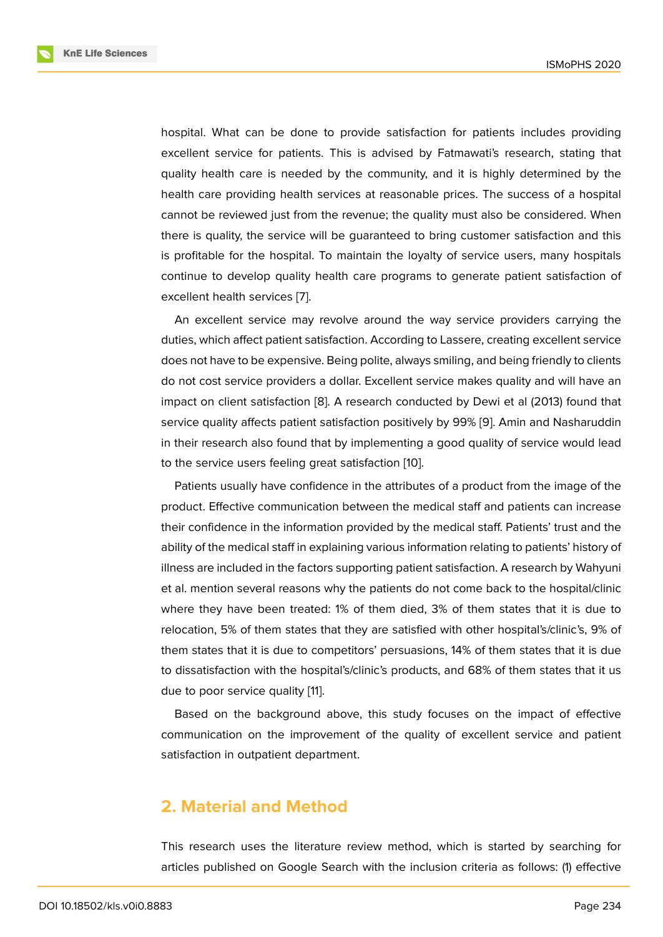hospital. What can be done to provide satisfaction for patients includes providing excellent service for patients. This is advised by Fatmawati's research, stating that quality health care is needed by the community, and it is highly determined by the health care providing health services at reasonable prices. The success of a hospital cannot be reviewed just from the revenue; the quality must also be considered. When there is quality, the service will be guaranteed to bring customer satisfaction and this is profitable for the hospital. To maintain the loyalty of service users, many hospitals continue to develop quality health care programs to generate patient satisfaction of excellent health services [7].

An excellent service may revolve around the way service providers carrying the duties, which affect patient satisfaction. According to Lassere, creating excellent service does not have to be expe[ns](#page-10-3)ive. Being polite, always smiling, and being friendly to clients do not cost service providers a dollar. Excellent service makes quality and will have an impact on client satisfaction [8]. A research conducted by Dewi et al (2013) found that service quality affects patient satisfaction positively by 99% [9]. Amin and Nasharuddin in their research also found that by implementing a good quality of service would lead to the service users feeling g[re](#page-10-4)at satisfaction [10].

Patients usually have confidence in the attributes of a pro[du](#page-10-5)ct from the image of the product. Effective communication between the medical staff and patients can increase their confidence in the information provided b[y th](#page-10-6)e medical staff. Patients' trust and the ability of the medical staff in explaining various information relating to patients' history of illness are included in the factors supporting patient satisfaction. A research by Wahyuni et al. mention several reasons why the patients do not come back to the hospital/clinic where they have been treated: 1% of them died, 3% of them states that it is due to relocation, 5% of them states that they are satisfied with other hospital's/clinic's, 9% of them states that it is due to competitors' persuasions, 14% of them states that it is due to dissatisfaction with the hospital's/clinic's products, and 68% of them states that it us due to poor service quality [11].

Based on the background above, this study focuses on the impact of effective communication on the improvement of the quality of excellent service and patient satisfaction in outpatient de[pa](#page-10-7)rtment.

### **2. Material and Method**

This research uses the literature review method, which is started by searching for articles published on Google Search with the inclusion criteria as follows: (1) effective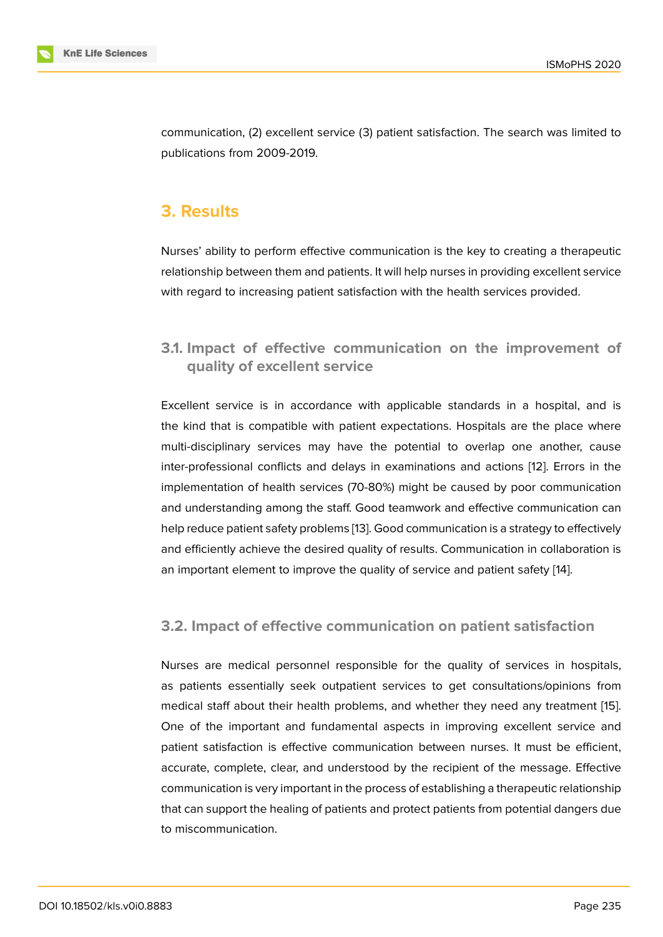communication, (2) excellent service (3) patient satisfaction. The search was limited to publications from 2009-2019.

# **3. Results**

Nurses' ability to perform effective communication is the key to creating a therapeutic relationship between them and patients. It will help nurses in providing excellent service with regard to increasing patient satisfaction with the health services provided.

#### **3.1. Impact of effective communication on the improvement of quality of excellent service**

Excellent service is in accordance with applicable standards in a hospital, and is the kind that is compatible with patient expectations. Hospitals are the place where multi-disciplinary services may have the potential to overlap one another, cause inter-professional conflicts and delays in examinations and actions [12]. Errors in the implementation of health services (70-80%) might be caused by poor communication and understanding among the staff. Good teamwork and effective communication can help reduce patient safety problems [13]. Good communication is a stra[teg](#page-10-8)y to effectively and efficiently achieve the desired quality of results. Communication in collaboration is an important element to improve the quality of service and patient safety [14].

#### **3.2. Impact of effective communication on patient satisf[ac](#page-10-9)tion**

Nurses are medical personnel responsible for the quality of services in hospitals, as patients essentially seek outpatient services to get consultations/opinions from medical staff about their health problems, and whether they need any treatment [15]. One of the important and fundamental aspects in improving excellent service and patient satisfaction is effective communication between nurses. It must be efficient, accurate, complete, clear, and understood by the recipient of the message. Effec[tive](#page-10-10) communication is very important in the process of establishing a therapeutic relationship that can support the healing of patients and protect patients from potential dangers due to miscommunication.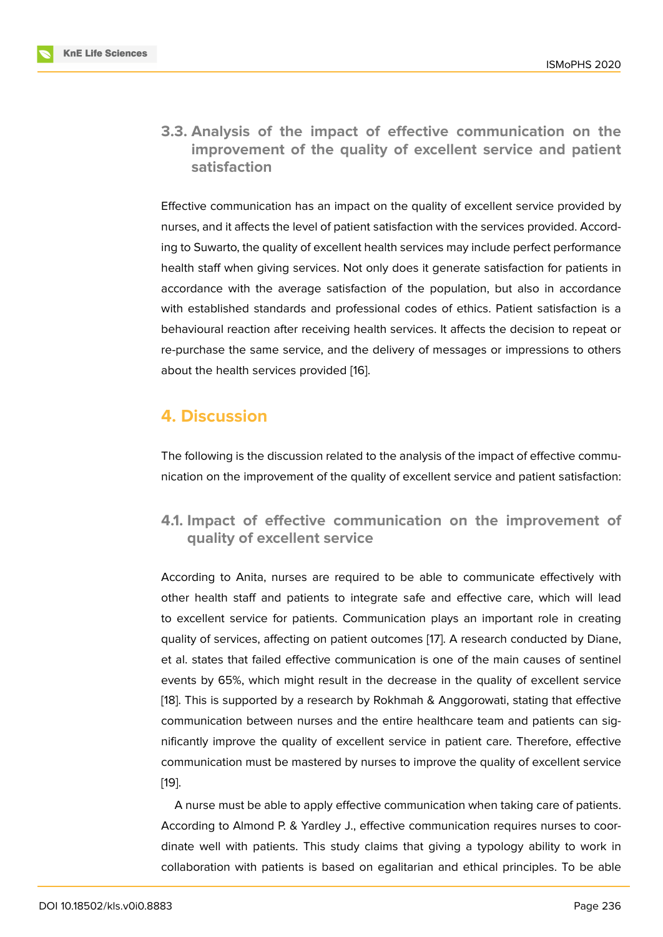**3.3. Analysis of the impact of effective communication on the improvement of the quality of excellent service and patient satisfaction**

Effective communication has an impact on the quality of excellent service provided by nurses, and it affects the level of patient satisfaction with the services provided. According to Suwarto, the quality of excellent health services may include perfect performance health staff when giving services. Not only does it generate satisfaction for patients in accordance with the average satisfaction of the population, but also in accordance with established standards and professional codes of ethics. Patient satisfaction is a behavioural reaction after receiving health services. It affects the decision to repeat or re-purchase the same service, and the delivery of messages or impressions to others about the health services provided [16].

## **4. Discussion**

The following is the discussion related to the analysis of the impact of effective communication on the improvement of the quality of excellent service and patient satisfaction:

#### **4.1. Impact of effective communication on the improvement of quality of excellent service**

According to Anita, nurses are required to be able to communicate effectively with other health staff and patients to integrate safe and effective care, which will lead to excellent service for patients. Communication plays an important role in creating quality of services, affecting on patient outcomes [17]. A research conducted by Diane, et al. states that failed effective communication is one of the main causes of sentinel events by 65%, which might result in the decrease in the quality of excellent service [18]. This is supported by a research by Rokhmah [& A](#page-11-0)nggorowati, stating that effective communication between nurses and the entire healthcare team and patients can significantly improve the quality of excellent service in patient care. Therefore, effective [com](#page-11-1)munication must be mastered by nurses to improve the quality of excellent service [19].

A nurse must be able to apply effective communication when taking care of patients. According to Almond P. & Yardley J., effective communication requires nurses to coor[din](#page-11-2)ate well with patients. This study claims that giving a typology ability to work in collaboration with patients is based on egalitarian and ethical principles. To be able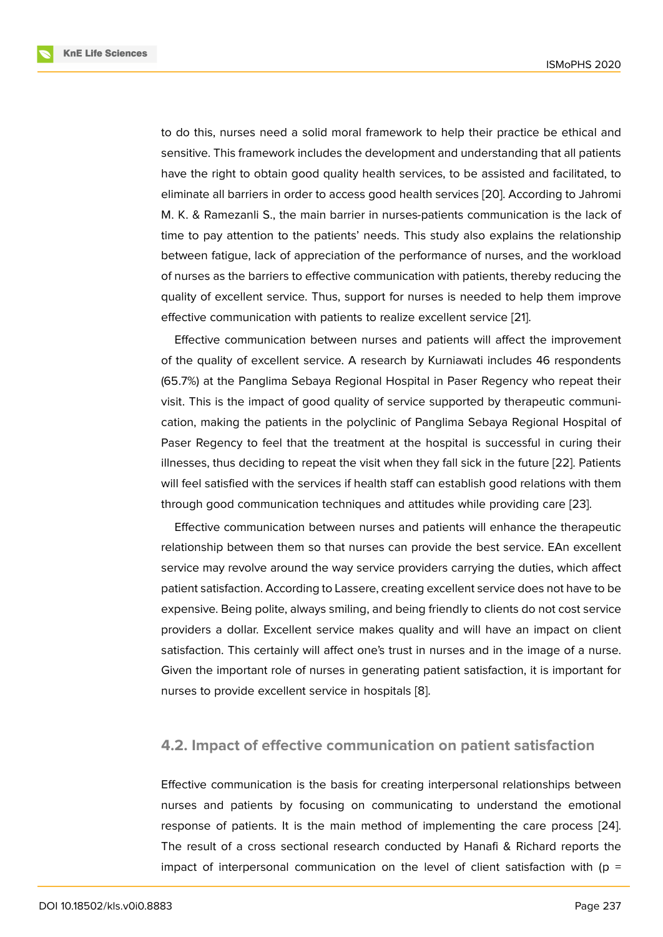to do this, nurses need a solid moral framework to help their practice be ethical and sensitive. This framework includes the development and understanding that all patients have the right to obtain good quality health services, to be assisted and facilitated, to eliminate all barriers in order to access good health services [20]. According to Jahromi M. K. & Ramezanli S., the main barrier in nurses-patients communication is the lack of time to pay attention to the patients' needs. This study also explains the relationship between fatigue, lack of appreciation of the performance of [nur](#page-11-3)ses, and the workload of nurses as the barriers to effective communication with patients, thereby reducing the quality of excellent service. Thus, support for nurses is needed to help them improve effective communication with patients to realize excellent service [21].

Effective communication between nurses and patients will affect the improvement of the quality of excellent service. A research by Kurniawati includes 46 respondents (65.7%) at the Panglima Sebaya Regional Hospital in Paser Rege[ncy](#page-11-4) who repeat their visit. This is the impact of good quality of service supported by therapeutic communication, making the patients in the polyclinic of Panglima Sebaya Regional Hospital of Paser Regency to feel that the treatment at the hospital is successful in curing their illnesses, thus deciding to repeat the visit when they fall sick in the future [22]. Patients will feel satisfied with the services if health staff can establish good relations with them through good communication techniques and attitudes while providing care [23].

Effective communication between nurses and patients will enhance th[e th](#page-11-5)erapeutic relationship between them so that nurses can provide the best service. EAn excellent service may revolve around the way service providers carrying the duties, w[hich](#page-11-6) affect patient satisfaction. According to Lassere, creating excellent service does not have to be expensive. Being polite, always smiling, and being friendly to clients do not cost service providers a dollar. Excellent service makes quality and will have an impact on client satisfaction. This certainly will affect one's trust in nurses and in the image of a nurse. Given the important role of nurses in generating patient satisfaction, it is important for nurses to provide excellent service in hospitals [8].

#### **4.2. Impact of effective communicati[o](#page-10-4)n on patient satisfaction**

Effective communication is the basis for creating interpersonal relationships between nurses and patients by focusing on communicating to understand the emotional response of patients. It is the main method of implementing the care process [24]. The result of a cross sectional research conducted by Hanafi & Richard reports the impact of interpersonal communication on the level of client satisfaction with ( $p =$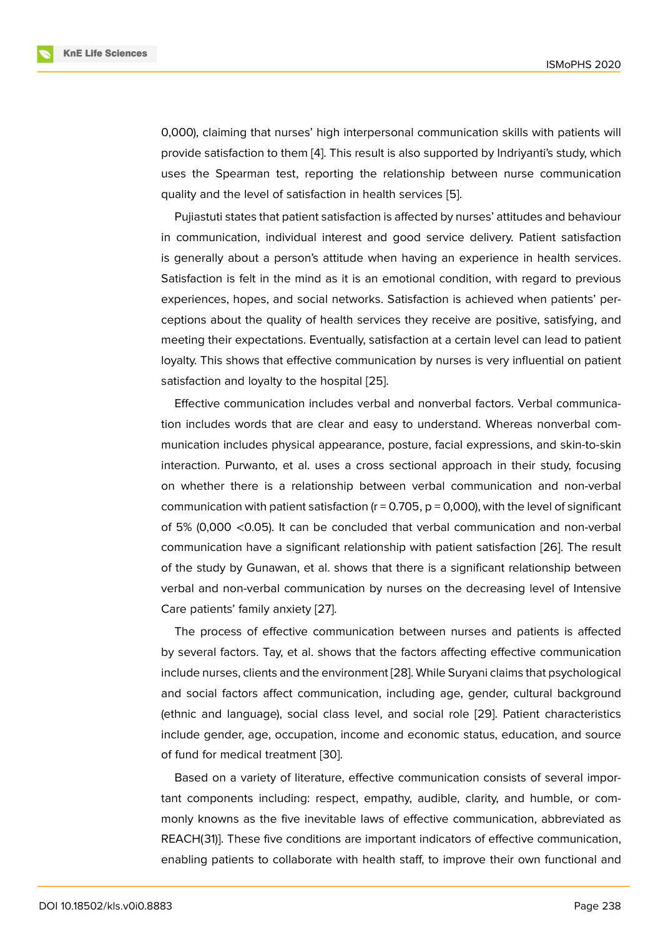0,000), claiming that nurses' high interpersonal communication skills with patients will provide satisfaction to them [4]. This result is also supported by Indriyanti's study, which uses the Spearman test, reporting the relationship between nurse communication quality and the level of satisfaction in health services [5].

Pujiastuti states that patie[nt](#page-10-0) satisfaction is affected by nurses' attitudes and behaviour in communication, individual interest and good service delivery. Patient satisfaction is generally about a person's attitude when having a[n](#page-10-1) experience in health services. Satisfaction is felt in the mind as it is an emotional condition, with regard to previous experiences, hopes, and social networks. Satisfaction is achieved when patients' perceptions about the quality of health services they receive are positive, satisfying, and meeting their expectations. Eventually, satisfaction at a certain level can lead to patient loyalty. This shows that effective communication by nurses is very influential on patient satisfaction and loyalty to the hospital [25].

Effective communication includes verbal and nonverbal factors. Verbal communication includes words that are clear and easy to understand. Whereas nonverbal communication includes physical appeara[nce,](#page-11-7) posture, facial expressions, and skin-to-skin interaction. Purwanto, et al. uses a cross sectional approach in their study, focusing on whether there is a relationship between verbal communication and non-verbal communication with patient satisfaction ( $r = 0.705$ ,  $p = 0.000$ ), with the level of significant of 5% (0,000 <0.05). It can be concluded that verbal communication and non-verbal communication have a significant relationship with patient satisfaction [26]. The result of the study by Gunawan, et al. shows that there is a significant relationship between verbal and non-verbal communication by nurses on the decreasing level of Intensive Care patients' family anxiety [27].

The process of effective communication between nurses and patients is affected by several factors. Tay, et al. shows that the factors affecting effective communication include nurses, clients and th[e en](#page-11-8)vironment [28]. While Suryani claims that psychological and social factors affect communication, including age, gender, cultural background (ethnic and language), social class level, and social role [29]. Patient characteristics include gender, age, occupation, income a[nd e](#page-12-0)conomic status, education, and source of fund for medical treatment [30].

Based on a variety of literature, effective communicatio[n co](#page-12-1)nsists of several important components including: respect, empathy, audible, clarity, and humble, or commonly knowns as the five ine[vita](#page-12-2)ble laws of effective communication, abbreviated as REACH(31)]. These five conditions are important indicators of effective communication, enabling patients to collaborate with health staff, to improve their own functional and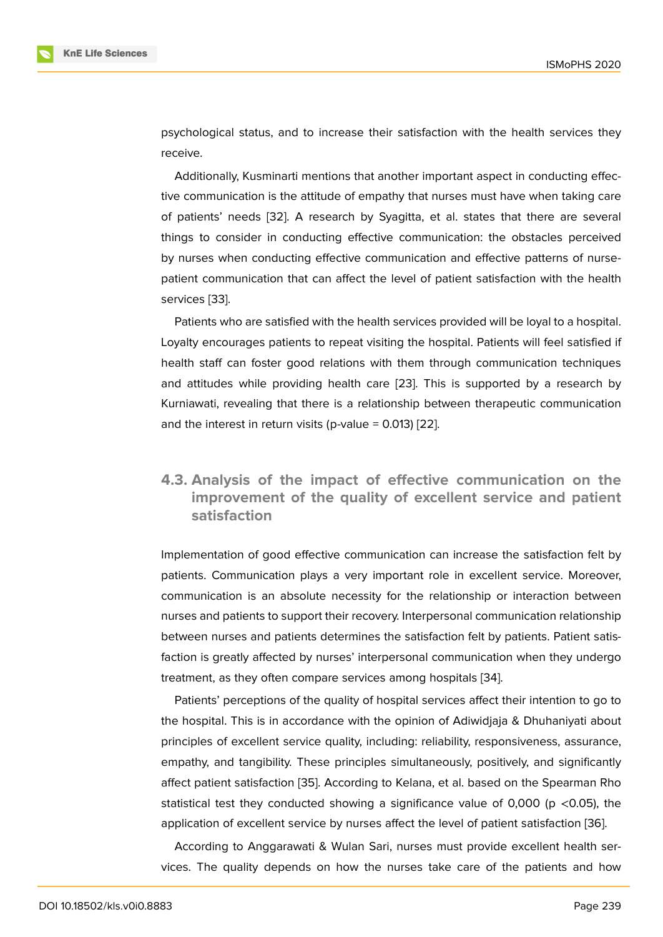psychological status, and to increase their satisfaction with the health services they receive.

Additionally, Kusminarti mentions that another important aspect in conducting effective communication is the attitude of empathy that nurses must have when taking care of patients' needs [32]. A research by Syagitta, et al. states that there are several things to consider in conducting effective communication: the obstacles perceived by nurses when conducting effective communication and effective patterns of nursepatient communicat[ion](#page-12-3) that can affect the level of patient satisfaction with the health services [33].

Patients who are satisfied with the health services provided will be loyal to a hospital. Loyalty encourages patients to repeat visiting the hospital. Patients will feel satisfied if health st[aff](#page-12-4) can foster good relations with them through communication techniques and attitudes while providing health care [23]. This is supported by a research by Kurniawati, revealing that there is a relationship between therapeutic communication and the interest in return visits (p-value  $= 0.013$ ) [22].

#### **4.3. Analysis of the impact of effe[ctiv](#page-11-5)e communication on the improvement of the quality of excellent service and patient satisfaction**

Implementation of good effective communication can increase the satisfaction felt by patients. Communication plays a very important role in excellent service. Moreover, communication is an absolute necessity for the relationship or interaction between nurses and patients to support their recovery. Interpersonal communication relationship between nurses and patients determines the satisfaction felt by patients. Patient satisfaction is greatly affected by nurses' interpersonal communication when they undergo treatment, as they often compare services among hospitals [34].

Patients' perceptions of the quality of hospital services affect their intention to go to the hospital. This is in accordance with the opinion of Adiwidjaja & Dhuhaniyati about principles of excellent service quality, including: reliability, r[esp](#page-12-5)onsiveness, assurance, empathy, and tangibility. These principles simultaneously, positively, and significantly affect patient satisfaction [35]. According to Kelana, et al. based on the Spearman Rho statistical test they conducted showing a significance value of 0,000 ( $p \lt 0.05$ ), the application of excellent service by nurses affect the level of patient satisfaction [36].

According to Anggara[wati](#page-12-6) & Wulan Sari, nurses must provide excellent health services. The quality depends on how the nurses take care of the patients an[d h](#page-12-7)ow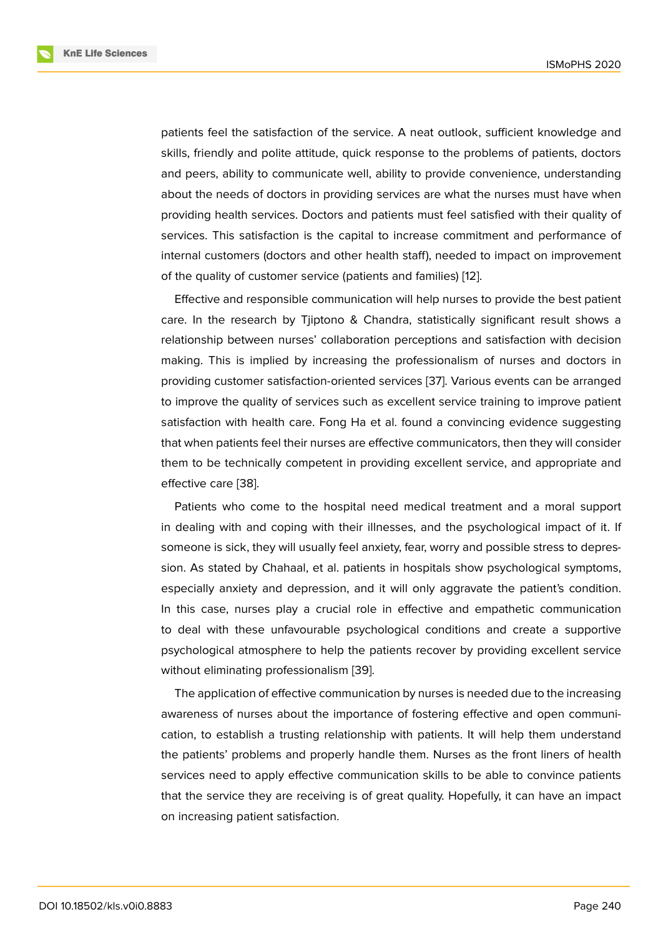patients feel the satisfaction of the service. A neat outlook, sufficient knowledge and skills, friendly and polite attitude, quick response to the problems of patients, doctors and peers, ability to communicate well, ability to provide convenience, understanding about the needs of doctors in providing services are what the nurses must have when providing health services. Doctors and patients must feel satisfied with their quality of services. This satisfaction is the capital to increase commitment and performance of internal customers (doctors and other health staff), needed to impact on improvement of the quality of customer service (patients and families) [12].

Effective and responsible communication will help nurses to provide the best patient care. In the research by Tjiptono & Chandra, statistically significant result shows a relationship between nurses' collaboration perceptions [and](#page-10-8) satisfaction with decision making. This is implied by increasing the professionalism of nurses and doctors in providing customer satisfaction-oriented services [37]. Various events can be arranged to improve the quality of services such as excellent service training to improve patient satisfaction with health care. Fong Ha et al. found a convincing evidence suggesting that when patients feel their nurses are effective c[omm](#page-12-8)unicators, then they will consider them to be technically competent in providing excellent service, and appropriate and effective care [38].

Patients who come to the hospital need medical treatment and a moral support in dealing with and coping with their illnesses, and the psychological impact of it. If someone is si[ck, t](#page-12-9)hey will usually feel anxiety, fear, worry and possible stress to depression. As stated by Chahaal, et al. patients in hospitals show psychological symptoms, especially anxiety and depression, and it will only aggravate the patient's condition. In this case, nurses play a crucial role in effective and empathetic communication to deal with these unfavourable psychological conditions and create a supportive psychological atmosphere to help the patients recover by providing excellent service without eliminating professionalism [39].

The application of effective communication by nurses is needed due to the increasing awareness of nurses about the importance of fostering effective and open communication, to establish a trusting relati[ons](#page-12-10)hip with patients. It will help them understand the patients' problems and properly handle them. Nurses as the front liners of health services need to apply effective communication skills to be able to convince patients that the service they are receiving is of great quality. Hopefully, it can have an impact on increasing patient satisfaction.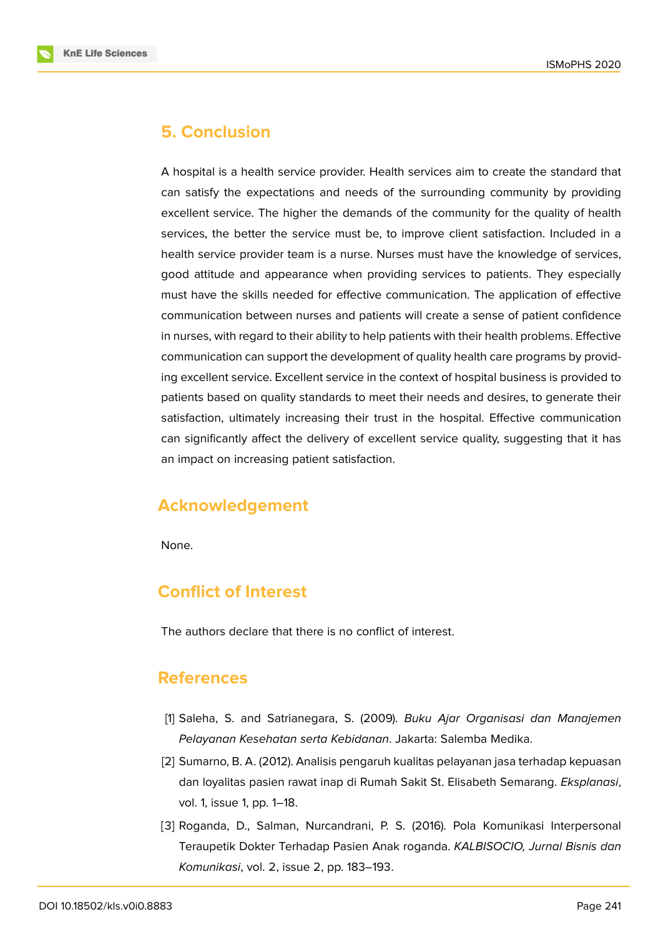

A hospital is a health service provider. Health services aim to create the standard that can satisfy the expectations and needs of the surrounding community by providing excellent service. The higher the demands of the community for the quality of health services, the better the service must be, to improve client satisfaction. Included in a health service provider team is a nurse. Nurses must have the knowledge of services, good attitude and appearance when providing services to patients. They especially must have the skills needed for effective communication. The application of effective communication between nurses and patients will create a sense of patient confidence in nurses, with regard to their ability to help patients with their health problems. Effective communication can support the development of quality health care programs by providing excellent service. Excellent service in the context of hospital business is provided to patients based on quality standards to meet their needs and desires, to generate their satisfaction, ultimately increasing their trust in the hospital. Effective communication can significantly affect the delivery of excellent service quality, suggesting that it has an impact on increasing patient satisfaction.

### **Acknowledgement**

None.

### **Conflict of Interest**

The authors declare that there is no conflict of interest.

## **References**

- <span id="page-9-0"></span>[1] Saleha, S. and Satrianegara, S. (2009). *Buku Ajar Organisasi dan Manajemen Pelayanan Kesehatan serta Kebidanan*. Jakarta: Salemba Medika.
- <span id="page-9-1"></span>[2] Sumarno, B. A. (2012). Analisis pengaruh kualitas pelayanan jasa terhadap kepuasan dan loyalitas pasien rawat inap di Rumah Sakit St. Elisabeth Semarang. *Eksplanasi*, vol. 1, issue 1, pp. 1–18.
- <span id="page-9-2"></span>[3] Roganda, D., Salman, Nurcandrani, P. S. (2016). Pola Komunikasi Interpersonal Teraupetik Dokter Terhadap Pasien Anak roganda. *KALBISOCIO, Jurnal Bisnis dan Komunikasi*, vol. 2, issue 2, pp. 183–193.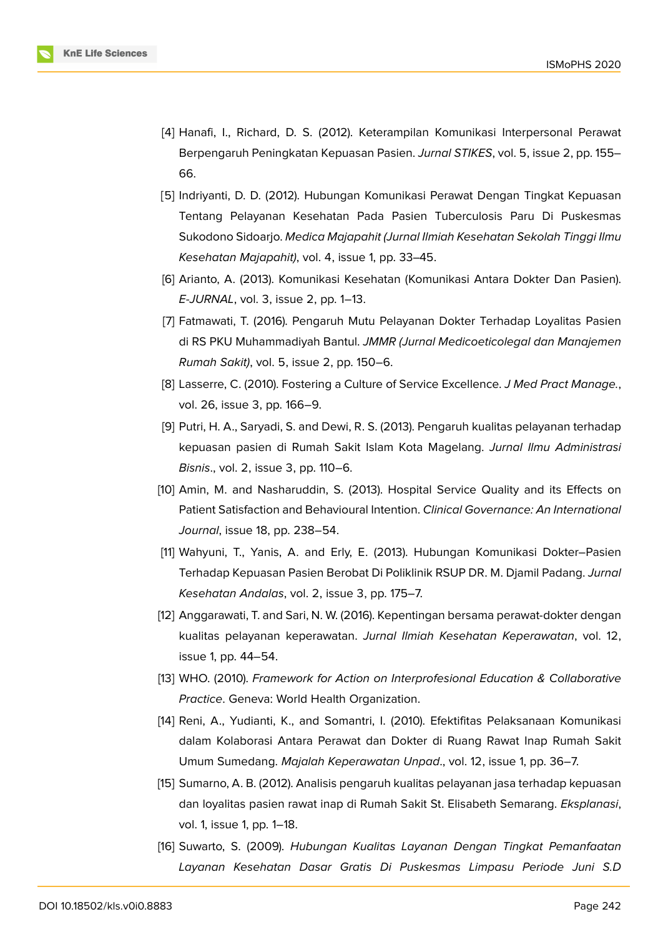

- <span id="page-10-0"></span>[4] Hanafi, I., Richard, D. S. (2012). Keterampilan Komunikasi Interpersonal Perawat Berpengaruh Peningkatan Kepuasan Pasien. *Jurnal STIKES*, vol. 5, issue 2, pp. 155– 66.
- <span id="page-10-1"></span>[5] Indriyanti, D. D. (2012). Hubungan Komunikasi Perawat Dengan Tingkat Kepuasan Tentang Pelayanan Kesehatan Pada Pasien Tuberculosis Paru Di Puskesmas Sukodono Sidoarjo. *Medica Majapahit (Jurnal Ilmiah Kesehatan Sekolah Tinggi Ilmu Kesehatan Majapahit)*, vol. 4, issue 1, pp. 33–45.
- <span id="page-10-2"></span>[6] Arianto, A. (2013). Komunikasi Kesehatan (Komunikasi Antara Dokter Dan Pasien). *E-JURNAL*, vol. 3, issue 2, pp. 1–13.
- <span id="page-10-3"></span>[7] Fatmawati, T. (2016). Pengaruh Mutu Pelayanan Dokter Terhadap Loyalitas Pasien di RS PKU Muhammadiyah Bantul. *JMMR (Jurnal Medicoeticolegal dan Manajemen Rumah Sakit)*, vol. 5, issue 2, pp. 150–6.
- <span id="page-10-4"></span>[8] Lasserre, C. (2010). Fostering a Culture of Service Excellence. *J Med Pract Manage.*, vol. 26, issue 3, pp. 166–9.
- <span id="page-10-5"></span>[9] Putri, H. A., Saryadi, S. and Dewi, R. S. (2013). Pengaruh kualitas pelayanan terhadap kepuasan pasien di Rumah Sakit Islam Kota Magelang. *Jurnal Ilmu Administrasi Bisnis*., vol. 2, issue 3, pp. 110–6.
- <span id="page-10-6"></span>[10] Amin, M. and Nasharuddin, S. (2013). Hospital Service Quality and its Effects on Patient Satisfaction and Behavioural Intention. *Clinical Governance: An International Journal*, issue 18, pp. 238–54.
- <span id="page-10-7"></span>[11] Wahyuni, T., Yanis, A. and Erly, E. (2013). Hubungan Komunikasi Dokter–Pasien Terhadap Kepuasan Pasien Berobat Di Poliklinik RSUP DR. M. Djamil Padang. *Jurnal Kesehatan Andalas*, vol. 2, issue 3, pp. 175–7.
- <span id="page-10-8"></span>[12] Anggarawati, T. and Sari, N. W. (2016). Kepentingan bersama perawat-dokter dengan kualitas pelayanan keperawatan. *Jurnal Ilmiah Kesehatan Keperawatan*, vol. 12, issue 1, pp. 44–54.
- [13] WHO. (2010). *Framework for Action on Interprofesional Education & Collaborative Practice*. Geneva: World Health Organization.
- <span id="page-10-9"></span>[14] Reni, A., Yudianti, K., and Somantri, I. (2010). Efektifitas Pelaksanaan Komunikasi dalam Kolaborasi Antara Perawat dan Dokter di Ruang Rawat Inap Rumah Sakit Umum Sumedang. *Majalah Keperawatan Unpad*., vol. 12, issue 1, pp. 36–7.
- <span id="page-10-10"></span>[15] Sumarno, A. B. (2012). Analisis pengaruh kualitas pelayanan jasa terhadap kepuasan dan loyalitas pasien rawat inap di Rumah Sakit St. Elisabeth Semarang. *Eksplanasi*, vol. 1, issue 1, pp. 1–18.
- [16] Suwarto, S. (2009). *Hubungan Kualitas Layanan Dengan Tingkat Pemanfaatan Layanan Kesehatan Dasar Gratis Di Puskesmas Limpasu Periode Juni S.D*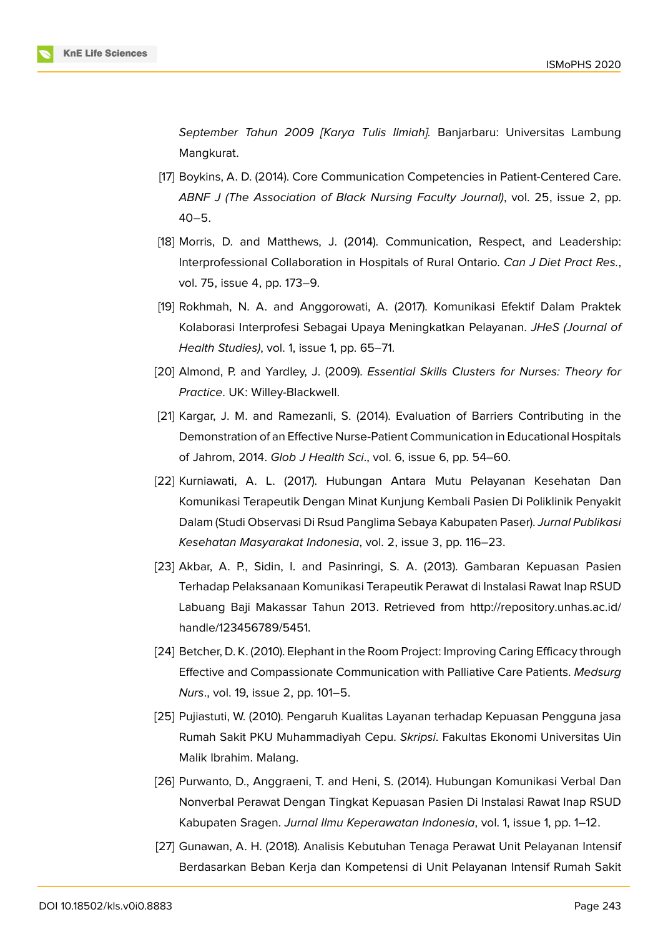*September Tahun 2009 [Karya Tulis Ilmiah].* Banjarbaru: Universitas Lambung Mangkurat.

- [17] Boykins, A. D. (2014). Core Communication Competencies in Patient-Centered Care. *ABNF J (The Association of Black Nursing Faculty Journal)*, vol. 25, issue 2, pp. 40–5.
- <span id="page-11-0"></span>[18] Morris, D. and Matthews, J. (2014). Communication, Respect, and Leadership: Interprofessional Collaboration in Hospitals of Rural Ontario. *Can J Diet Pract Res.*, vol. 75, issue 4, pp. 173–9.
- <span id="page-11-1"></span>[19] Rokhmah, N. A. and Anggorowati, A. (2017). Komunikasi Efektif Dalam Praktek Kolaborasi Interprofesi Sebagai Upaya Meningkatkan Pelayanan. *JHeS (Journal of Health Studies)*, vol. 1, issue 1, pp. 65–71.
- <span id="page-11-2"></span>[20] Almond, P. and Yardley, J. (2009). *Essential Skills Clusters for Nurses: Theory for Practice*. UK: Willey-Blackwell.
- <span id="page-11-3"></span>[21] Kargar, J. M. and Ramezanli, S. (2014). Evaluation of Barriers Contributing in the Demonstration of an Effective Nurse-Patient Communication in Educational Hospitals of Jahrom, 2014. *Glob J Health Sci*., vol. 6, issue 6, pp. 54–60.
- <span id="page-11-4"></span>[22] Kurniawati, A. L. (2017). Hubungan Antara Mutu Pelayanan Kesehatan Dan Komunikasi Terapeutik Dengan Minat Kunjung Kembali Pasien Di Poliklinik Penyakit Dalam (Studi Observasi Di Rsud Panglima Sebaya Kabupaten Paser). *Jurnal Publikasi Kesehatan Masyarakat Indonesia*, vol. 2, issue 3, pp. 116–23.
- <span id="page-11-5"></span>[23] Akbar, A. P., Sidin, I. and Pasinringi, S. A. (2013). Gambaran Kepuasan Pasien Terhadap Pelaksanaan Komunikasi Terapeutik Perawat di Instalasi Rawat Inap RSUD Labuang Baji Makassar Tahun 2013. Retrieved from http://repository.unhas.ac.id/ handle/123456789/5451.
- <span id="page-11-6"></span>[24] Betcher, D. K. (2010). Elephant in the Room Project: Improving Caring Efficacy through Effective and Compassionate Communication with Palli[ative Care Patients.](http://repository.unhas.ac.id/handle/123456789/5451) *Medsurg Nurs*[., vol. 19, issue 2, pp](http://repository.unhas.ac.id/handle/123456789/5451). 101–5.
- [25] Pujiastuti, W. (2010). Pengaruh Kualitas Layanan terhadap Kepuasan Pengguna jasa Rumah Sakit PKU Muhammadiyah Cepu. *Skripsi*. Fakultas Ekonomi Universitas Uin Malik Ibrahim. Malang.
- <span id="page-11-7"></span>[26] Purwanto, D., Anggraeni, T. and Heni, S. (2014). Hubungan Komunikasi Verbal Dan Nonverbal Perawat Dengan Tingkat Kepuasan Pasien Di Instalasi Rawat Inap RSUD Kabupaten Sragen. *Jurnal Ilmu Keperawatan Indonesia*, vol. 1, issue 1, pp. 1–12.
- <span id="page-11-8"></span>[27] Gunawan, A. H. (2018). Analisis Kebutuhan Tenaga Perawat Unit Pelayanan Intensif Berdasarkan Beban Kerja dan Kompetensi di Unit Pelayanan Intensif Rumah Sakit